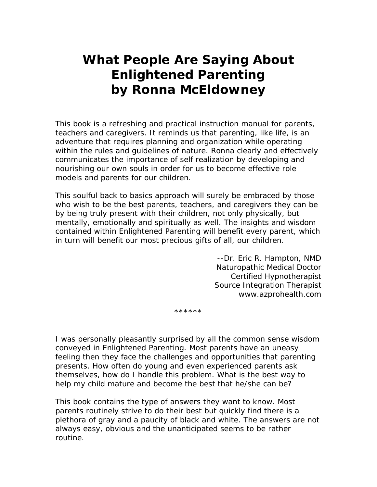## **What People Are Saying About**  *Enlightened Parenting*  **by Ronna McEldowney**

This book is a refreshing and practical instruction manual for parents, teachers and caregivers. It reminds us that parenting, like life, is an adventure that requires planning and organization while operating within the rules and guidelines of nature. Ronna clearly and effectively communicates the importance of self realization by developing and nourishing our own souls in order for us to become effective role models and parents for our children.

This soulful back to basics approach will surely be embraced by those who wish to be the best parents, teachers, and caregivers they can be by being truly present with their children, not only physically, but mentally, emotionally and spiritually as well. The insights and wisdom contained within Enlightened Parenting will benefit every parent, which in turn will benefit our most precious gifts of all, our children.

> --Dr. Eric R. Hampton, NMD Naturopathic Medical Doctor Certified Hypnotherapist Source Integration Therapist www.azprohealth.com

\*\*\*\*\*\*

I was personally pleasantly surprised by all the common sense wisdom conveyed in *Enlightened Parenting*. Most parents have an uneasy feeling then they face the challenges and opportunities that parenting presents. How often do young and even experienced parents ask themselves, how do I handle this problem. What is the best way to help my child mature and become the best that he/she can be?

This book contains the type of answers they want to know. Most parents routinely strive to do their best but quickly find there is a plethora of gray and a paucity of black and white. The answers are not always easy, obvious and the unanticipated seems to be rather routine.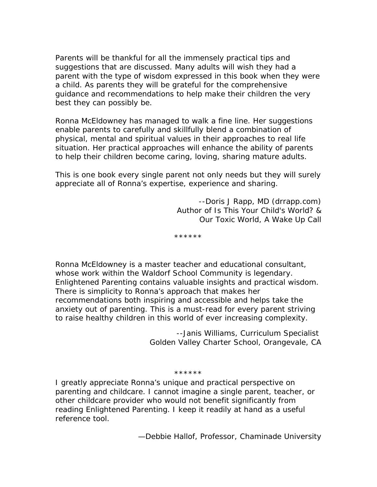Parents will be thankful for all the immensely practical tips and suggestions that are discussed. Many adults will wish they had a parent with the type of wisdom expressed in this book when they were a child. As parents they will be grateful for the comprehensive guidance and recommendations to help make their children the very best they can possibly be.

Ronna McEldowney has managed to walk a fine line. Her suggestions enable parents to carefully and skillfully blend a combination of physical, mental and spiritual values in their approaches to real life situation. Her practical approaches will enhance the ability of parents to help their children become caring, loving, sharing mature adults.

This is one book every single parent not only needs but they will surely appreciate all of Ronna's expertise, experience and sharing.

> --Doris J Rapp, MD (drrapp.com) Author of *Is This Your Child's World? & Our Toxic World, A Wake Up Call*

*\*\*\*\*\*\** 

Ronna McEldowney is a master teacher and educational consultant, whose work within the Waldorf School Community is legendary. *Enlightened Parenting* contains valuable insights and practical wisdom. There is simplicity to Ronna's approach that makes her recommendations both inspiring and accessible and helps take the anxiety out of parenting. This is a must-read for every parent striving to raise healthy children in this world of ever increasing complexity.

> --Janis Williams, Curriculum Specialist Golden Valley Charter School, Orangevale, CA

## \*\*\*\*\*\*

I greatly appreciate Ronna's unique and practical perspective on parenting and childcare. I cannot imagine a single parent, teacher, or other childcare provider who would not benefit significantly from reading Enlightened Parenting. I keep it readily at hand as a useful reference tool.

—Debbie Hallof, Professor, Chaminade University